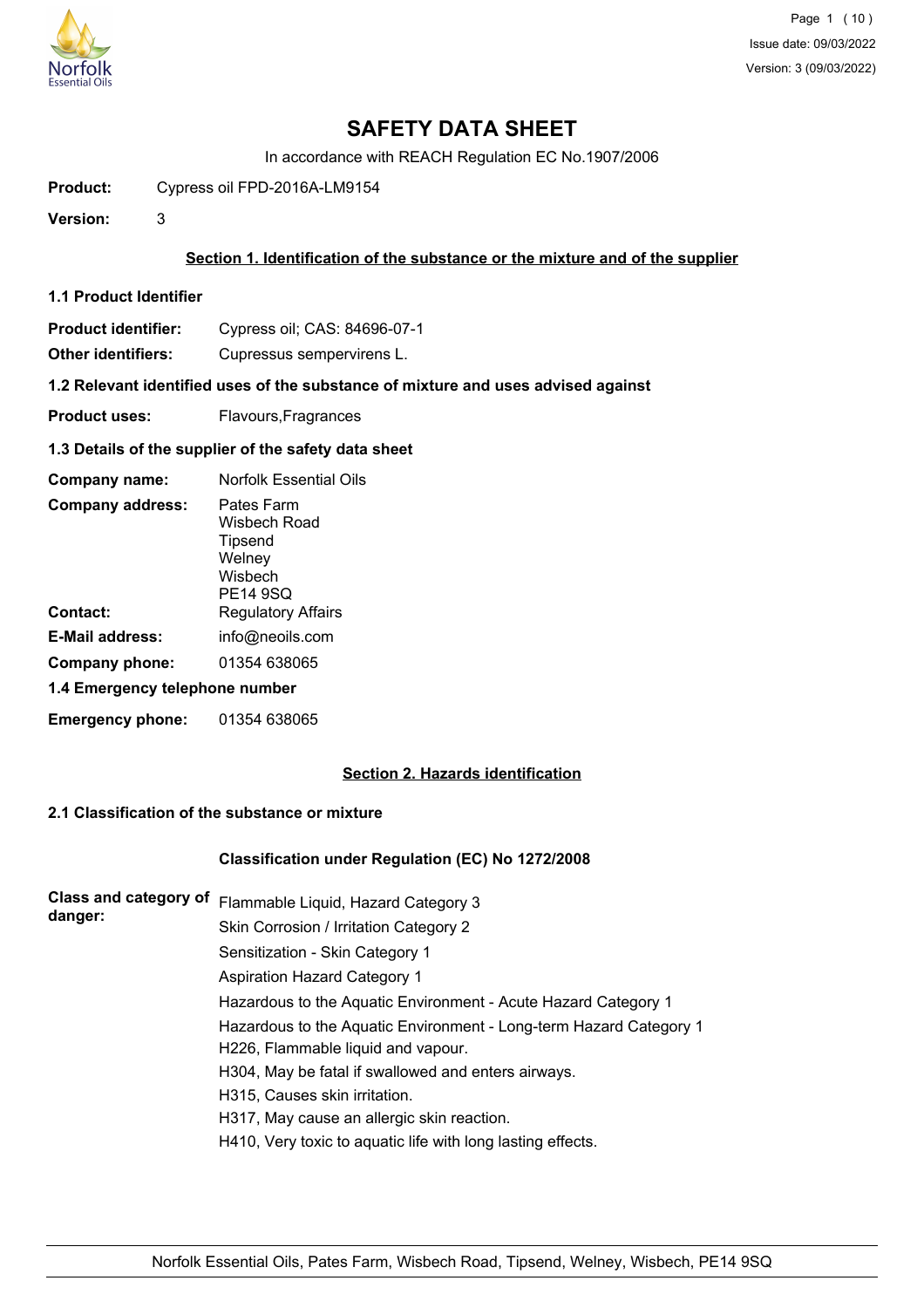

# **SAFETY DATA SHEET**

In accordance with REACH Regulation EC No.1907/2006

**Product:** Cypress oil FPD-2016A-LM9154

**Version:** 3

## **Section 1. Identification of the substance or the mixture and of the supplier**

- **1.1 Product Identifier**
- **Product identifier:** Cypress oil; CAS: 84696-07-1

**Other identifiers:** Cupressus sempervirens L.

**1.2 Relevant identified uses of the substance of mixture and uses advised against**

- **Product uses:** Flavours, Fragrances
- **1.3 Details of the supplier of the safety data sheet**

| Company name:                  | Norfolk Essential Oils                                                        |  |  |
|--------------------------------|-------------------------------------------------------------------------------|--|--|
| <b>Company address:</b>        | Pates Farm<br>Wisbech Road<br>Tipsend<br>Welney<br>Wisbech<br><b>PE14 9SQ</b> |  |  |
| Contact:                       | <b>Regulatory Affairs</b>                                                     |  |  |
| <b>E-Mail address:</b>         | info@neoils.com                                                               |  |  |
| Company phone:                 | 01354 638065                                                                  |  |  |
| 1.4 Emergency telephone number |                                                                               |  |  |
| <b>Emergency phone:</b>        | 01354 638065                                                                  |  |  |

## **Section 2. Hazards identification**

## **2.1 Classification of the substance or mixture**

## **Classification under Regulation (EC) No 1272/2008**

| <b>Class and category of</b> | Flammable Liquid, Hazard Category 3                                |
|------------------------------|--------------------------------------------------------------------|
| danger:                      | Skin Corrosion / Irritation Category 2                             |
|                              | Sensitization - Skin Category 1                                    |
|                              | <b>Aspiration Hazard Category 1</b>                                |
|                              | Hazardous to the Aquatic Environment - Acute Hazard Category 1     |
|                              | Hazardous to the Aquatic Environment - Long-term Hazard Category 1 |
|                              | H226, Flammable liquid and vapour.                                 |
|                              | H304, May be fatal if swallowed and enters airways.                |
|                              | H315, Causes skin irritation.                                      |
|                              | H317, May cause an allergic skin reaction.                         |
|                              | H410, Very toxic to aquatic life with long lasting effects.        |
|                              |                                                                    |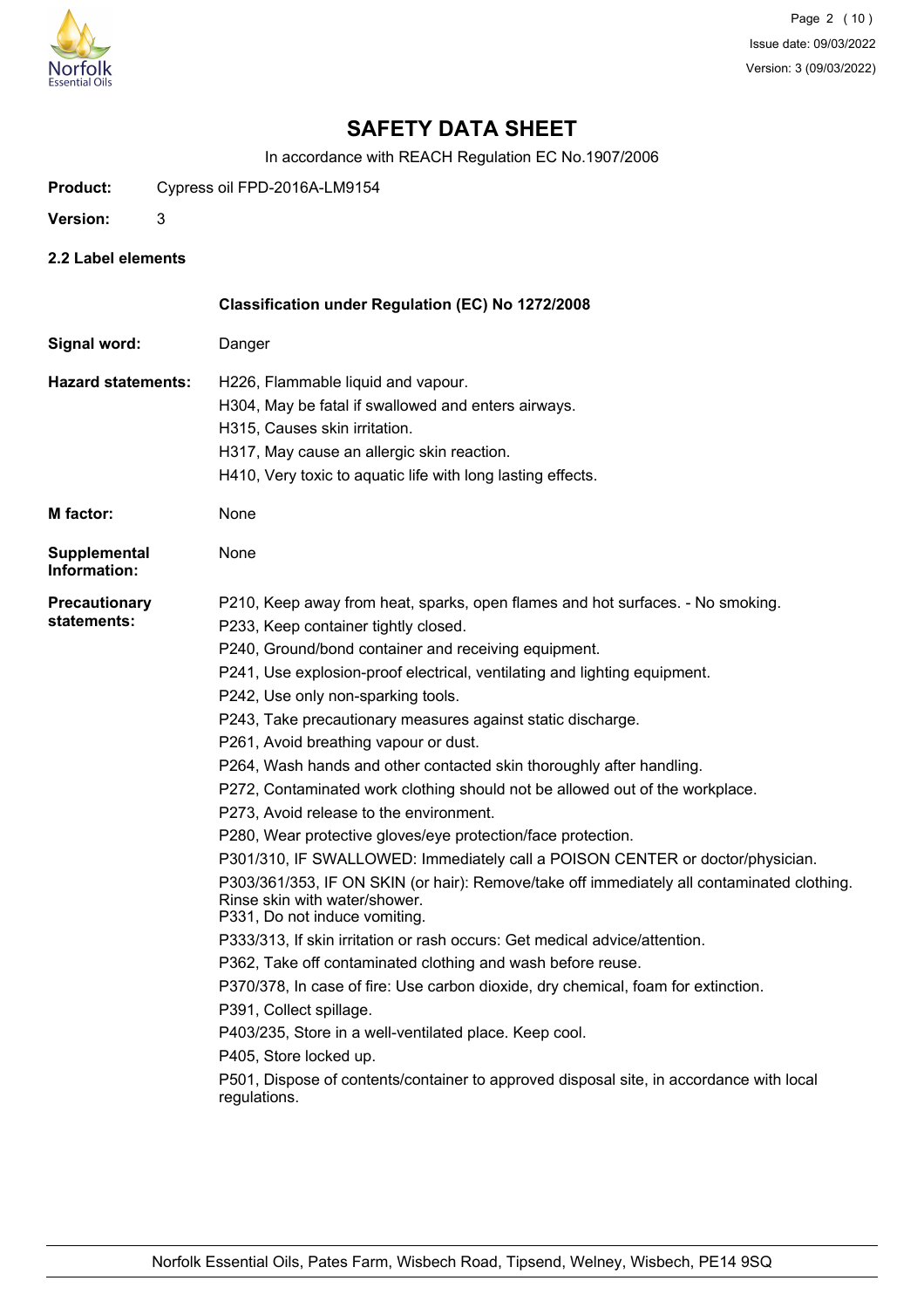

# **SAFETY DATA SHEET**

In accordance with REACH Regulation EC No.1907/2006

**Product:** Cypress oil FPD-2016A-LM9154

- **Version:** 3
- **2.2 Label elements**

|                                     | Classification under Regulation (EC) No 1272/2008                                                                                                            |
|-------------------------------------|--------------------------------------------------------------------------------------------------------------------------------------------------------------|
| Signal word:                        | Danger                                                                                                                                                       |
| <b>Hazard statements:</b>           | H226, Flammable liquid and vapour.                                                                                                                           |
|                                     | H304, May be fatal if swallowed and enters airways.                                                                                                          |
|                                     | H315, Causes skin irritation.                                                                                                                                |
|                                     | H317, May cause an allergic skin reaction.                                                                                                                   |
|                                     | H410, Very toxic to aquatic life with long lasting effects.                                                                                                  |
| <b>M</b> factor:                    | None                                                                                                                                                         |
| <b>Supplemental</b><br>Information: | None                                                                                                                                                         |
| <b>Precautionary</b>                | P210, Keep away from heat, sparks, open flames and hot surfaces. - No smoking.                                                                               |
| statements:                         | P233, Keep container tightly closed.                                                                                                                         |
|                                     | P240, Ground/bond container and receiving equipment.                                                                                                         |
|                                     | P241, Use explosion-proof electrical, ventilating and lighting equipment.                                                                                    |
|                                     | P242, Use only non-sparking tools.                                                                                                                           |
|                                     | P243, Take precautionary measures against static discharge.                                                                                                  |
|                                     | P261, Avoid breathing vapour or dust.                                                                                                                        |
|                                     | P264, Wash hands and other contacted skin thoroughly after handling.                                                                                         |
|                                     | P272, Contaminated work clothing should not be allowed out of the workplace.                                                                                 |
|                                     | P273, Avoid release to the environment.                                                                                                                      |
|                                     | P280, Wear protective gloves/eye protection/face protection.                                                                                                 |
|                                     | P301/310, IF SWALLOWED: Immediately call a POISON CENTER or doctor/physician.                                                                                |
|                                     | P303/361/353, IF ON SKIN (or hair): Remove/take off immediately all contaminated clothing.<br>Rinse skin with water/shower.<br>P331, Do not induce vomiting. |
|                                     | P333/313, If skin irritation or rash occurs: Get medical advice/attention.                                                                                   |
|                                     | P362, Take off contaminated clothing and wash before reuse.                                                                                                  |
|                                     | P370/378, In case of fire: Use carbon dioxide, dry chemical, foam for extinction.                                                                            |
|                                     | P391, Collect spillage.                                                                                                                                      |
|                                     | P403/235, Store in a well-ventilated place. Keep cool.                                                                                                       |
|                                     | P405, Store locked up.                                                                                                                                       |
|                                     | P501, Dispose of contents/container to approved disposal site, in accordance with local<br>regulations.                                                      |
|                                     |                                                                                                                                                              |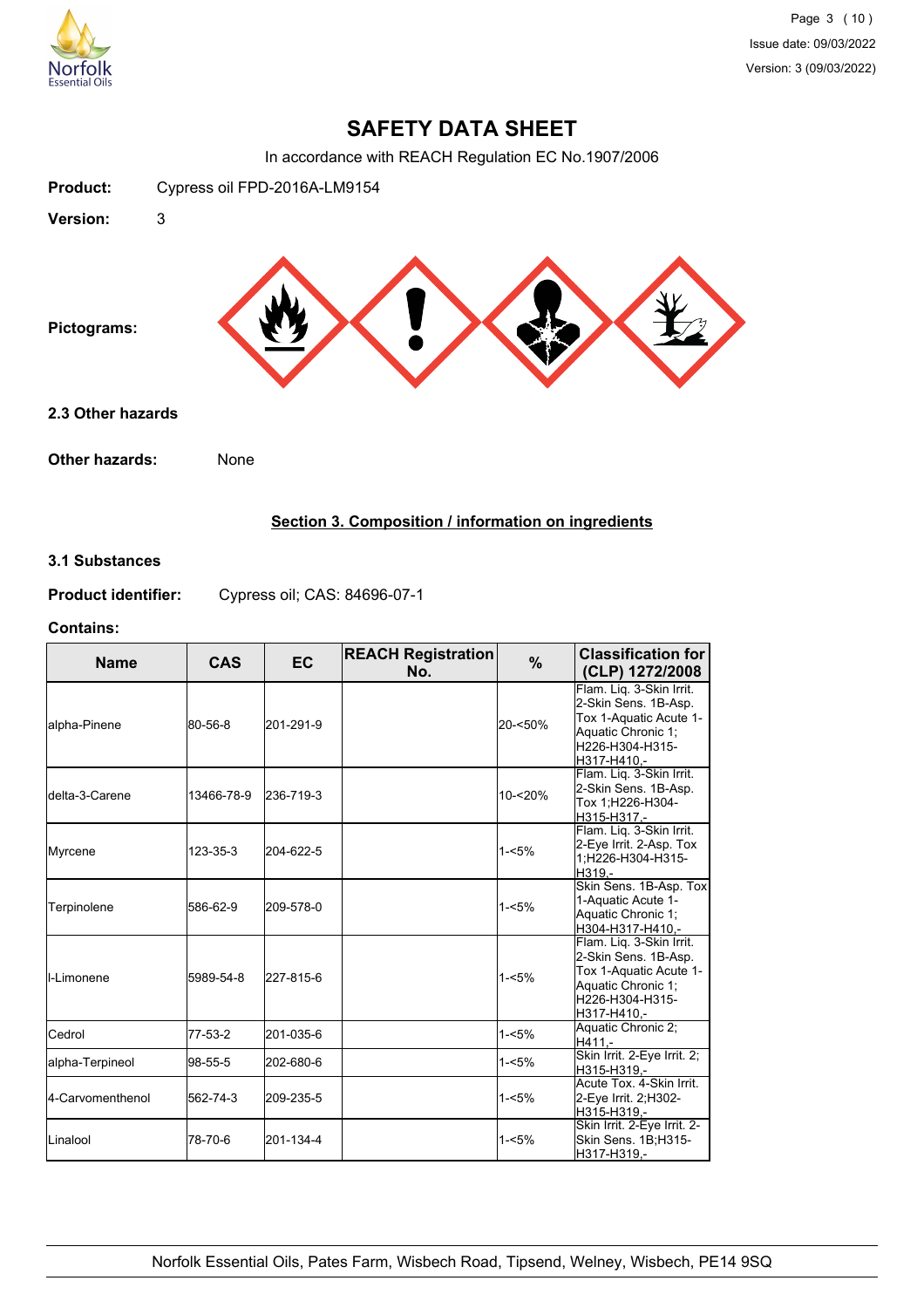

## **SAFETY DATA SHEET**

In accordance with REACH Regulation EC No.1907/2006



## **Section 3. Composition / information on ingredients**

## **3.1 Substances**

**Product identifier:** Cypress oil; CAS: 84696-07-1

#### **Contains:**

| <b>Name</b>             | CAS        | <b>EC</b> | <b>REACH Registration</b><br>No. | %        | <b>Classification for</b><br>(CLP) 1272/2008                                                                                       |
|-------------------------|------------|-----------|----------------------------------|----------|------------------------------------------------------------------------------------------------------------------------------------|
| lalpha-Pinene           | 80-56-8    | 201-291-9 |                                  | 20-<50%  | Flam. Lig. 3-Skin Irrit.<br>2-Skin Sens. 1B-Asp.<br>Tox 1-Aquatic Acute 1-<br>Aquatic Chronic 1;<br>H226-H304-H315-<br>H317-H410.- |
| <b>I</b> delta-3-Carene | 13466-78-9 | 236-719-3 |                                  | 10-<20%  | Flam. Lig. 3-Skin Irrit.<br>2-Skin Sens. 1B-Asp.<br>Tox 1; H226-H304-<br>H315-H317.-                                               |
| Myrcene                 | 123-35-3   | 204-622-5 |                                  | $1 - 5%$ | Flam. Lig. 3-Skin Irrit.<br>2-Eye Irrit. 2-Asp. Tox<br>1:H226-H304-H315-<br>H319.-                                                 |
| Terpinolene             | 586-62-9   | 209-578-0 |                                  | $1 - 5%$ | Skin Sens. 1B-Asp. Tox<br>1-Aquatic Acute 1-<br>Aquatic Chronic 1;<br>H304-H317-H410.-                                             |
| II-Limonene             | 5989-54-8  | 227-815-6 |                                  | $1 - 5%$ | Flam. Lig. 3-Skin Irrit.<br>2-Skin Sens. 1B-Asp.<br>Tox 1-Aquatic Acute 1-<br>Aquatic Chronic 1;<br>H226-H304-H315-<br>H317-H410,- |
| Cedrol                  | 77-53-2    | 201-035-6 |                                  | $1 - 5%$ | Aquatic Chronic 2;<br>H411.-                                                                                                       |
| alpha-Terpineol         | 98-55-5    | 202-680-6 |                                  | $1 - 5%$ | Skin Irrit. 2-Eye Irrit. 2;<br>H315-H319.-                                                                                         |
| 4-Carvomenthenol        | 562-74-3   | 209-235-5 |                                  | $1 - 5%$ | Acute Tox. 4-Skin Irrit.<br>2-Eye Irrit. 2;H302-<br>H315-H319.-                                                                    |
| ILinalool               | 78-70-6    | 201-134-4 |                                  | $1 - 5%$ | Skin Irrit. 2-Eye Irrit. 2-<br>Skin Sens. 1B;H315-<br>H317-H319,-                                                                  |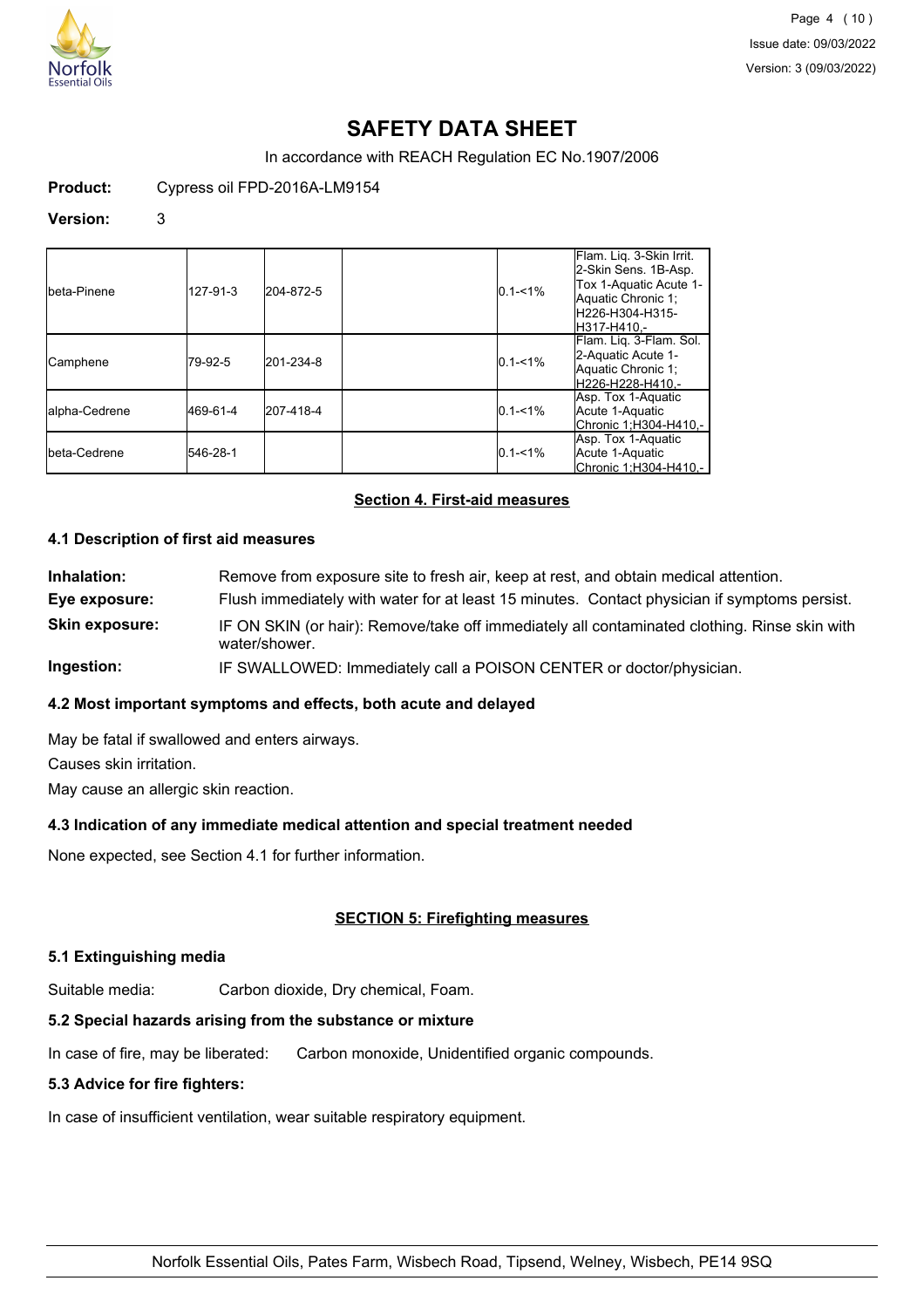

Page 4 (10) Issue date: 09/03/2022 Version: 3 (09/03/2022)

## **SAFETY DATA SHEET**

In accordance with REACH Regulation EC No.1907/2006

**Product:** Cypress oil FPD-2016A-LM9154

#### **Version:** 3

| Ibeta-Pinene  | 127-91-3 | 204-872-5 | $0.1 - 1\%$ | Flam. Liq. 3-Skin Irrit.<br>2-Skin Sens. 1B-Asp.<br>Tox 1-Aquatic Acute 1-<br>Aquatic Chronic 1;<br>lH226-H304-H315-<br>lH317-H410.- |
|---------------|----------|-----------|-------------|--------------------------------------------------------------------------------------------------------------------------------------|
| ICamphene     | 79-92-5  | 201-234-8 | $0.1 - 1\%$ | Flam. Lig. 3-Flam. Sol.<br>2-Aquatic Acute 1-<br>Aquatic Chronic 1;<br>H226-H228-H410.-                                              |
| alpha-Cedrene | 469-61-4 | 207-418-4 | $0.1 - 1\%$ | Asp. Tox 1-Aquatic<br>Acute 1-Aquatic<br> Chronic 1:H304-H410.-                                                                      |
| Ibeta-Cedrene | 546-28-1 |           | $0.1 - 1\%$ | Asp. Tox 1-Aquatic<br>Acute 1-Aquatic<br>Chronic 1;H304-H410,-                                                                       |

## **Section 4. First-aid measures**

#### **4.1 Description of first aid measures**

**Inhalation:** Remove from exposure site to fresh air, keep at rest, and obtain medical attention. **Eye exposure:** Flush immediately with water for at least 15 minutes. Contact physician if symptoms persist. **Skin exposure:** IF ON SKIN (or hair): Remove/take off immediately all contaminated clothing. Rinse skin with water/shower. **Ingestion:** IF SWALLOWED: Immediately call a POISON CENTER or doctor/physician.

## **4.2 Most important symptoms and effects, both acute and delayed**

May be fatal if swallowed and enters airways. Causes skin irritation. May cause an allergic skin reaction.

#### **4.3 Indication of any immediate medical attention and special treatment needed**

None expected, see Section 4.1 for further information.

## **SECTION 5: Firefighting measures**

#### **5.1 Extinguishing media**

Suitable media: Carbon dioxide, Dry chemical, Foam.

#### **5.2 Special hazards arising from the substance or mixture**

In case of fire, may be liberated: Carbon monoxide, Unidentified organic compounds.

#### **5.3 Advice for fire fighters:**

In case of insufficient ventilation, wear suitable respiratory equipment.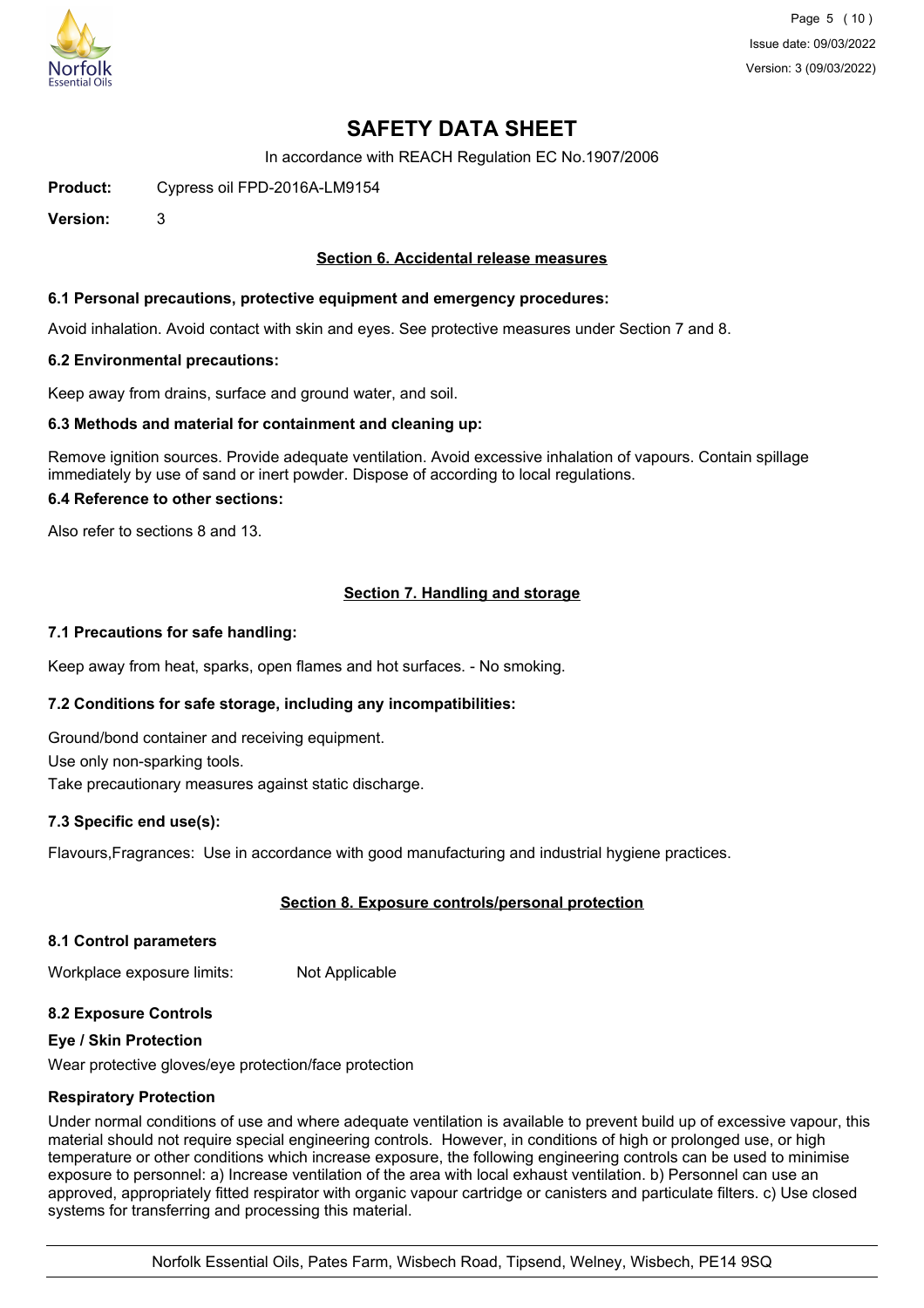

Page 5 (10) Issue date: 09/03/2022 Version: 3 (09/03/2022)

## **SAFETY DATA SHEET**

In accordance with REACH Regulation EC No.1907/2006

**Product:** Cypress oil FPD-2016A-LM9154

**Version:** 3

## **Section 6. Accidental release measures**

#### **6.1 Personal precautions, protective equipment and emergency procedures:**

Avoid inhalation. Avoid contact with skin and eyes. See protective measures under Section 7 and 8.

#### **6.2 Environmental precautions:**

Keep away from drains, surface and ground water, and soil.

#### **6.3 Methods and material for containment and cleaning up:**

Remove ignition sources. Provide adequate ventilation. Avoid excessive inhalation of vapours. Contain spillage immediately by use of sand or inert powder. Dispose of according to local regulations.

#### **6.4 Reference to other sections:**

Also refer to sections 8 and 13.

## **Section 7. Handling and storage**

#### **7.1 Precautions for safe handling:**

Keep away from heat, sparks, open flames and hot surfaces. - No smoking.

## **7.2 Conditions for safe storage, including any incompatibilities:**

Ground/bond container and receiving equipment. Use only non-sparking tools.

Take precautionary measures against static discharge.

## **7.3 Specific end use(s):**

Flavours,Fragrances: Use in accordance with good manufacturing and industrial hygiene practices.

## **Section 8. Exposure controls/personal protection**

## **8.1 Control parameters**

Workplace exposure limits: Not Applicable

## **8.2 Exposure Controls**

## **Eye / Skin Protection**

Wear protective gloves/eye protection/face protection

## **Respiratory Protection**

Under normal conditions of use and where adequate ventilation is available to prevent build up of excessive vapour, this material should not require special engineering controls. However, in conditions of high or prolonged use, or high temperature or other conditions which increase exposure, the following engineering controls can be used to minimise exposure to personnel: a) Increase ventilation of the area with local exhaust ventilation. b) Personnel can use an approved, appropriately fitted respirator with organic vapour cartridge or canisters and particulate filters. c) Use closed systems for transferring and processing this material.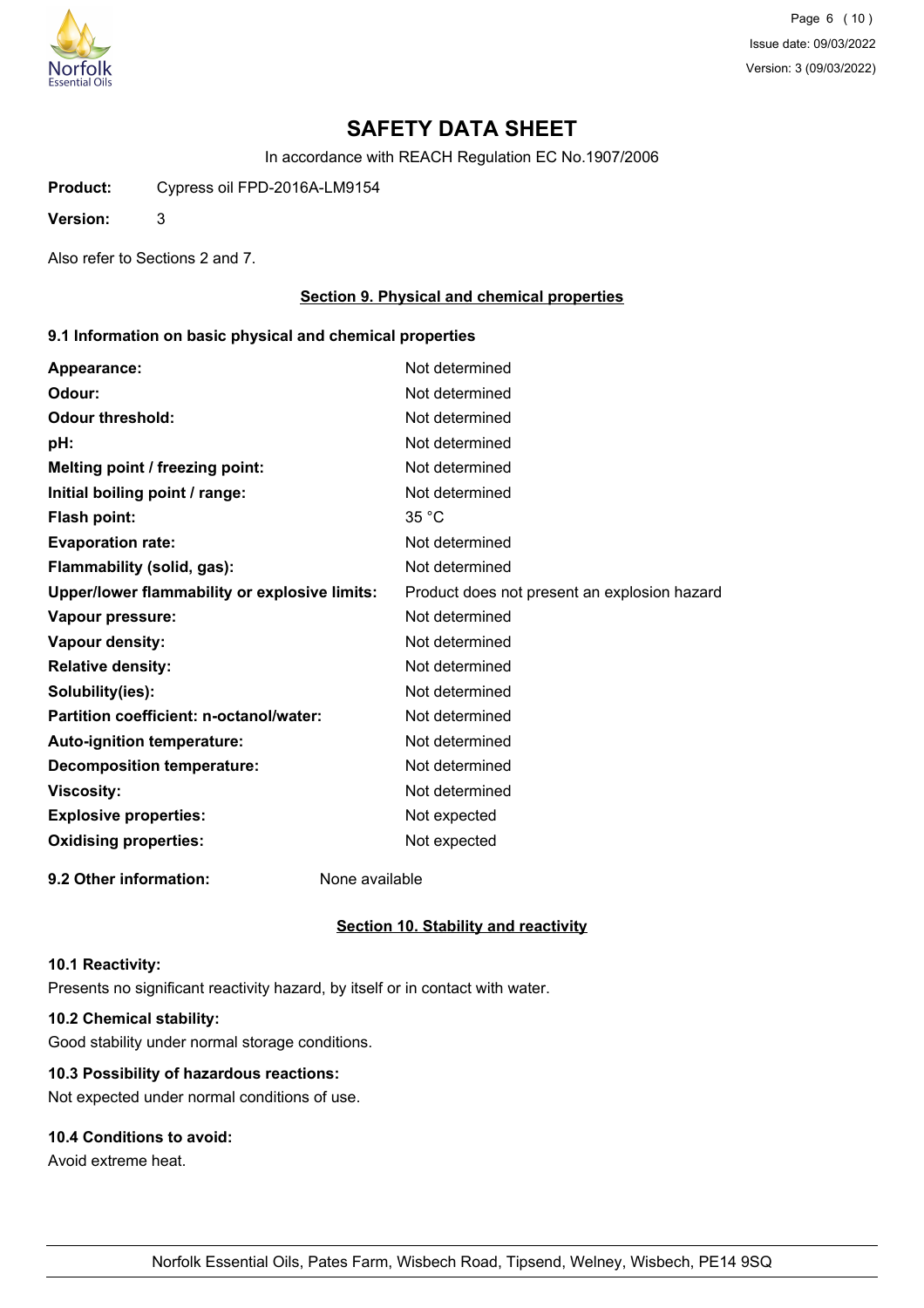

Page 6 (10) Issue date: 09/03/2022 Version: 3 (09/03/2022)

# **SAFETY DATA SHEET**

In accordance with REACH Regulation EC No.1907/2006

**Product:** Cypress oil FPD-2016A-LM9154

**Version:** 3

Also refer to Sections 2 and 7.

## **Section 9. Physical and chemical properties**

#### **9.1 Information on basic physical and chemical properties**

| Appearance:                                      | Not determined                               |
|--------------------------------------------------|----------------------------------------------|
| Odour:                                           | Not determined                               |
| <b>Odour threshold:</b>                          | Not determined                               |
| pH:                                              | Not determined                               |
| Melting point / freezing point:                  | Not determined                               |
| Initial boiling point / range:                   | Not determined                               |
| Flash point:                                     | 35 °C                                        |
| <b>Evaporation rate:</b>                         | Not determined                               |
| Flammability (solid, gas):                       | Not determined                               |
| Upper/lower flammability or explosive limits:    | Product does not present an explosion hazard |
| Vapour pressure:                                 | Not determined                               |
| <b>Vapour density:</b>                           | Not determined                               |
| <b>Relative density:</b>                         | Not determined                               |
| Solubility(ies):                                 | Not determined                               |
| Partition coefficient: n-octanol/water:          | Not determined                               |
| Auto-ignition temperature:                       | Not determined                               |
| <b>Decomposition temperature:</b>                | Not determined                               |
| <b>Viscosity:</b>                                | Not determined                               |
| <b>Explosive properties:</b>                     | Not expected                                 |
| <b>Oxidising properties:</b>                     | Not expected                                 |
| $\sim$ $\sim$ $\sim$ $\sim$ $\sim$ $\sim$ $\sim$ |                                              |

**9.2 Other information:** None available

## **Section 10. Stability and reactivity**

#### **10.1 Reactivity:**

Presents no significant reactivity hazard, by itself or in contact with water.

## **10.2 Chemical stability:**

Good stability under normal storage conditions.

## **10.3 Possibility of hazardous reactions:**

Not expected under normal conditions of use.

## **10.4 Conditions to avoid:**

Avoid extreme heat.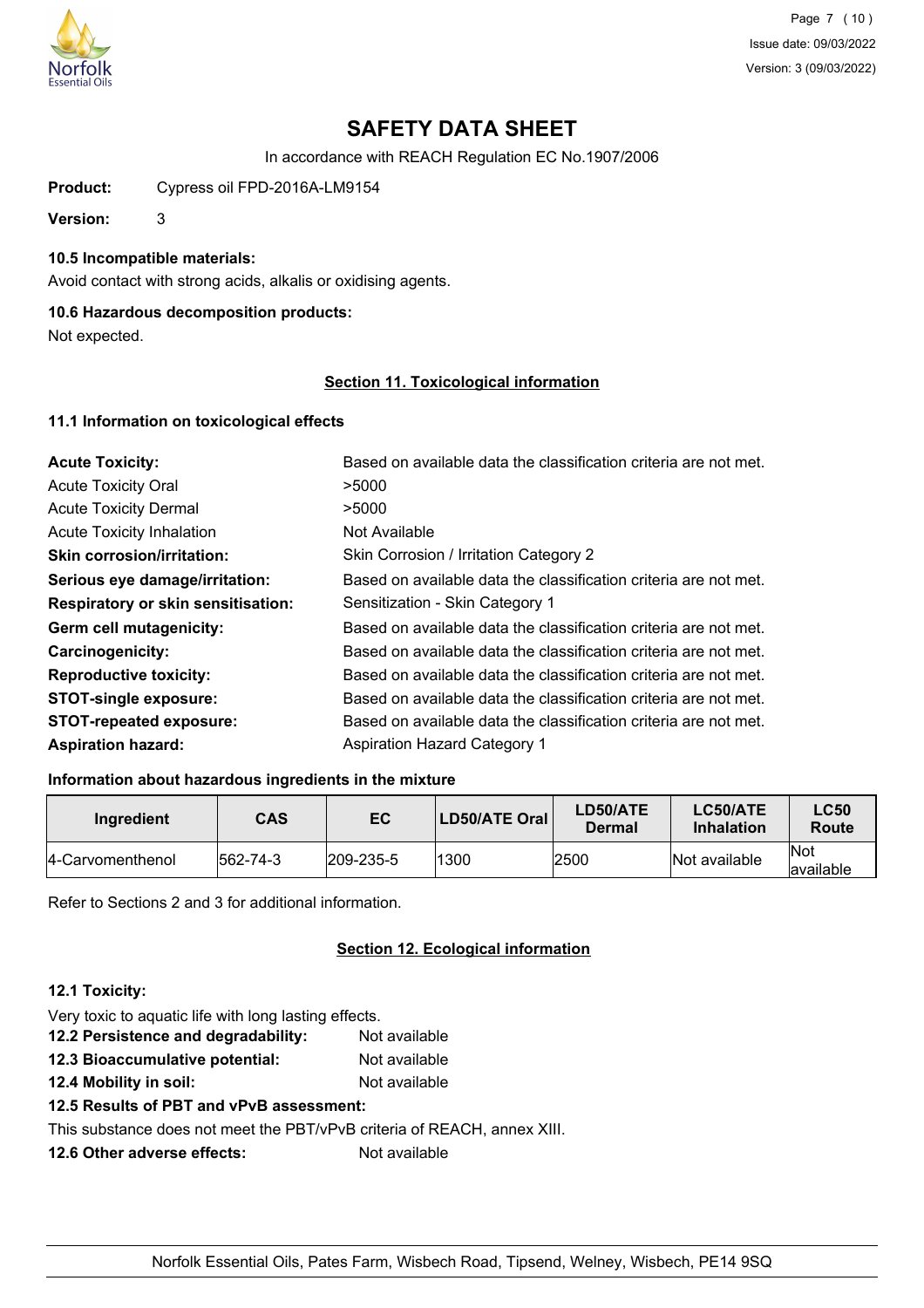

Page 7 (10) Issue date: 09/03/2022 Version: 3 (09/03/2022)

# **SAFETY DATA SHEET**

In accordance with REACH Regulation EC No.1907/2006

**Product:** Cypress oil FPD-2016A-LM9154

**Version:** 3

## **10.5 Incompatible materials:**

Avoid contact with strong acids, alkalis or oxidising agents.

## **10.6 Hazardous decomposition products:**

Not expected.

### **Section 11. Toxicological information**

#### **11.1 Information on toxicological effects**

| <b>Acute Toxicity:</b>                    | Based on available data the classification criteria are not met. |
|-------------------------------------------|------------------------------------------------------------------|
| <b>Acute Toxicity Oral</b>                | >5000                                                            |
| <b>Acute Toxicity Dermal</b>              | >5000                                                            |
| <b>Acute Toxicity Inhalation</b>          | Not Available                                                    |
| <b>Skin corrosion/irritation:</b>         | Skin Corrosion / Irritation Category 2                           |
| Serious eye damage/irritation:            | Based on available data the classification criteria are not met. |
| <b>Respiratory or skin sensitisation:</b> | Sensitization - Skin Category 1                                  |
| Germ cell mutagenicity:                   | Based on available data the classification criteria are not met. |
| <b>Carcinogenicity:</b>                   | Based on available data the classification criteria are not met. |
| <b>Reproductive toxicity:</b>             | Based on available data the classification criteria are not met. |
| <b>STOT-single exposure:</b>              | Based on available data the classification criteria are not met. |
| <b>STOT-repeated exposure:</b>            | Based on available data the classification criteria are not met. |
| <b>Aspiration hazard:</b>                 | <b>Aspiration Hazard Category 1</b>                              |

## **Information about hazardous ingredients in the mixture**

| Ingredient        | <b>CAS</b> | EC               | LD50/ATE Oral | LD50/ATE<br>Dermal | <b>LC50/ATE</b><br><b>Inhalation</b> | <b>LC50</b><br>Route |
|-------------------|------------|------------------|---------------|--------------------|--------------------------------------|----------------------|
| 14-Carvomenthenol | 562-74-3   | $ 209 - 235 - 5$ | 1300          | 2500               | Not available                        | lNot<br>lavailable   |

Refer to Sections 2 and 3 for additional information.

## **Section 12. Ecological information**

#### **12.1 Toxicity:**

| Very toxic to aquatic life with long lasting effects.                    |               |
|--------------------------------------------------------------------------|---------------|
| 12.2 Persistence and degradability:                                      | Not available |
| 12.3 Bioaccumulative potential:                                          | Not available |
| 12.4 Mobility in soil:                                                   | Not available |
| 12.5 Results of PBT and vPvB assessment:                                 |               |
| This substance does not meet the PBT/vPvB criteria of REACH, annex XIII. |               |
| 12.6 Other adverse effects:                                              | Not available |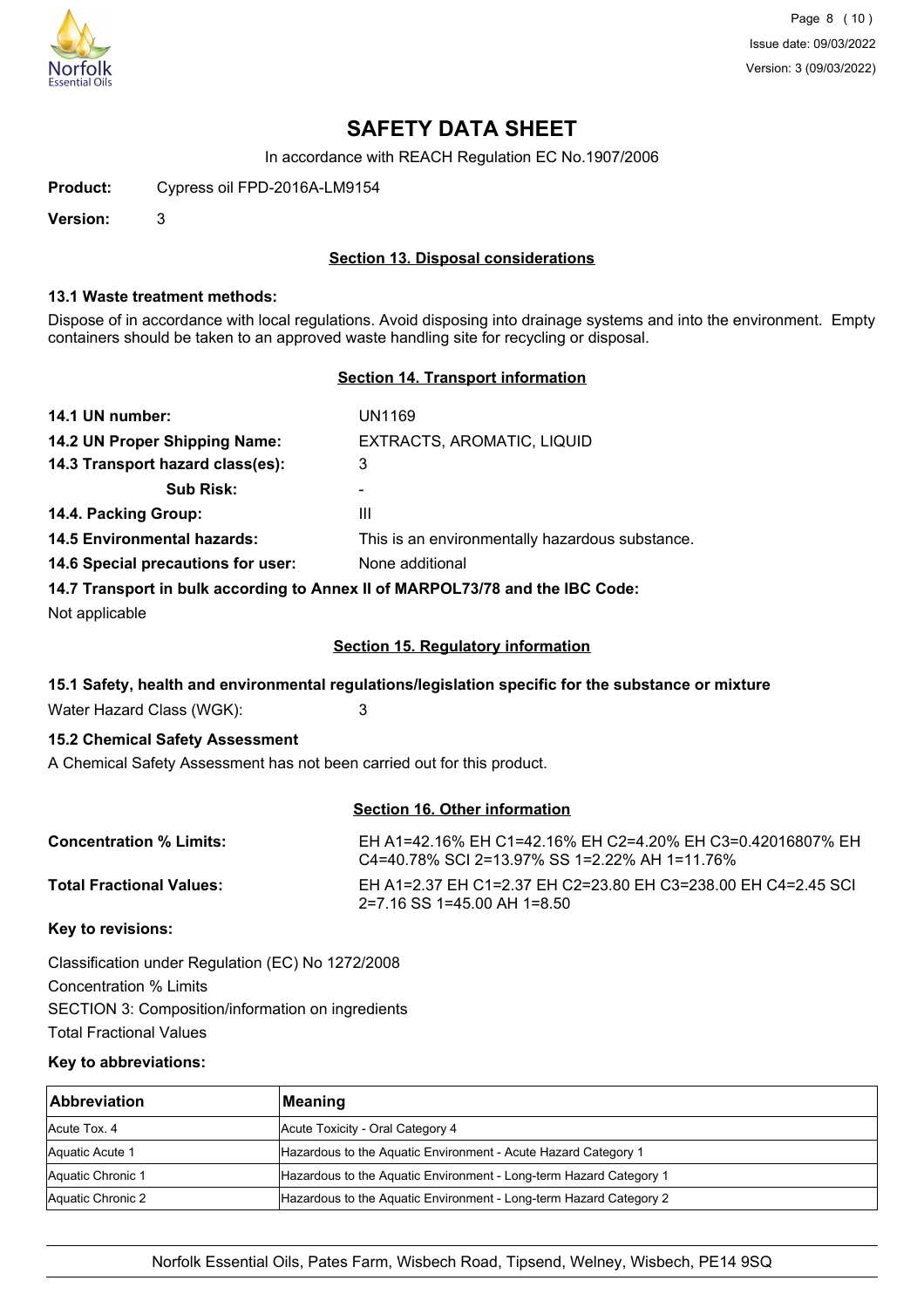

Page 8 (10) Issue date: 09/03/2022 Version: 3 (09/03/2022)

## **SAFETY DATA SHEET**

In accordance with REACH Regulation EC No.1907/2006

**Product:** Cypress oil FPD-2016A-LM9154

**Version:** 3

#### **Section 13. Disposal considerations**

#### **13.1 Waste treatment methods:**

Dispose of in accordance with local regulations. Avoid disposing into drainage systems and into the environment. Empty containers should be taken to an approved waste handling site for recycling or disposal.

#### **Section 14. Transport information**

| 14.1 UN number:                                                                                                                                                                                                                                                                                                                                                                                                         | UN1169                                          |
|-------------------------------------------------------------------------------------------------------------------------------------------------------------------------------------------------------------------------------------------------------------------------------------------------------------------------------------------------------------------------------------------------------------------------|-------------------------------------------------|
| 14.2 UN Proper Shipping Name:                                                                                                                                                                                                                                                                                                                                                                                           | EXTRACTS, AROMATIC, LIQUID                      |
| 14.3 Transport hazard class(es):                                                                                                                                                                                                                                                                                                                                                                                        | 3                                               |
| <b>Sub Risk:</b>                                                                                                                                                                                                                                                                                                                                                                                                        | -                                               |
| 14.4. Packing Group:                                                                                                                                                                                                                                                                                                                                                                                                    | Ш                                               |
| <b>14.5 Environmental hazards:</b>                                                                                                                                                                                                                                                                                                                                                                                      | This is an environmentally hazardous substance. |
| 14.6 Special precautions for user:                                                                                                                                                                                                                                                                                                                                                                                      | None additional                                 |
| $\mathbf{A} \mathbf{A} = \mathbf{B} \mathbf{A} \mathbf{A} \mathbf{A} \mathbf{A} \mathbf{A} \mathbf{A} \mathbf{A} \mathbf{A} \mathbf{A} \mathbf{A} \mathbf{A} \mathbf{A} \mathbf{A} \mathbf{A} \mathbf{A} \mathbf{A} \mathbf{A} \mathbf{A} \mathbf{A} \mathbf{A} \mathbf{A} \mathbf{A} \mathbf{A} \mathbf{A} \mathbf{A} \mathbf{A} \mathbf{A} \mathbf{A} \mathbf{A} \mathbf{A} \mathbf{A} \mathbf{A} \mathbf{A} \mathbf$ |                                                 |

#### **14.7 Transport in bulk according to Annex II of MARPOL73/78 and the IBC Code:**

Not applicable

#### **Section 15. Regulatory information**

## **15.1 Safety, health and environmental regulations/legislation specific for the substance or mixture**

Water Hazard Class (WGK): 3

## **15.2 Chemical Safety Assessment**

A Chemical Safety Assessment has not been carried out for this product.

#### **Section 16. Other information**

| <b>Concentration % Limits:</b>  | EH A1=42.16% EH C1=42.16% EH C2=4.20% EH C3=0.42016807% EH<br>C4=40.78% SCI 2=13.97% SS 1=2.22% AH 1=11.76% |
|---------------------------------|-------------------------------------------------------------------------------------------------------------|
| <b>Total Fractional Values:</b> | EH A1=2.37 EH C1=2.37 EH C2=23.80 EH C3=238.00 EH C4=2.45 SCI<br>2=7.16 SS 1=45.00 AH 1=8.50                |

**Key to revisions:**

Classification under Regulation (EC) No 1272/2008 Concentration % Limits SECTION 3: Composition/information on ingredients Total Fractional Values

#### **Key to abbreviations:**

| <b>Abbreviation</b> | <b>Meaning</b>                                                     |
|---------------------|--------------------------------------------------------------------|
| Acute Tox. 4        | Acute Toxicity - Oral Category 4                                   |
| Aquatic Acute 1     | Hazardous to the Aquatic Environment - Acute Hazard Category 1     |
| Aquatic Chronic 1   | Hazardous to the Aquatic Environment - Long-term Hazard Category 1 |
| Aquatic Chronic 2   | Hazardous to the Aquatic Environment - Long-term Hazard Category 2 |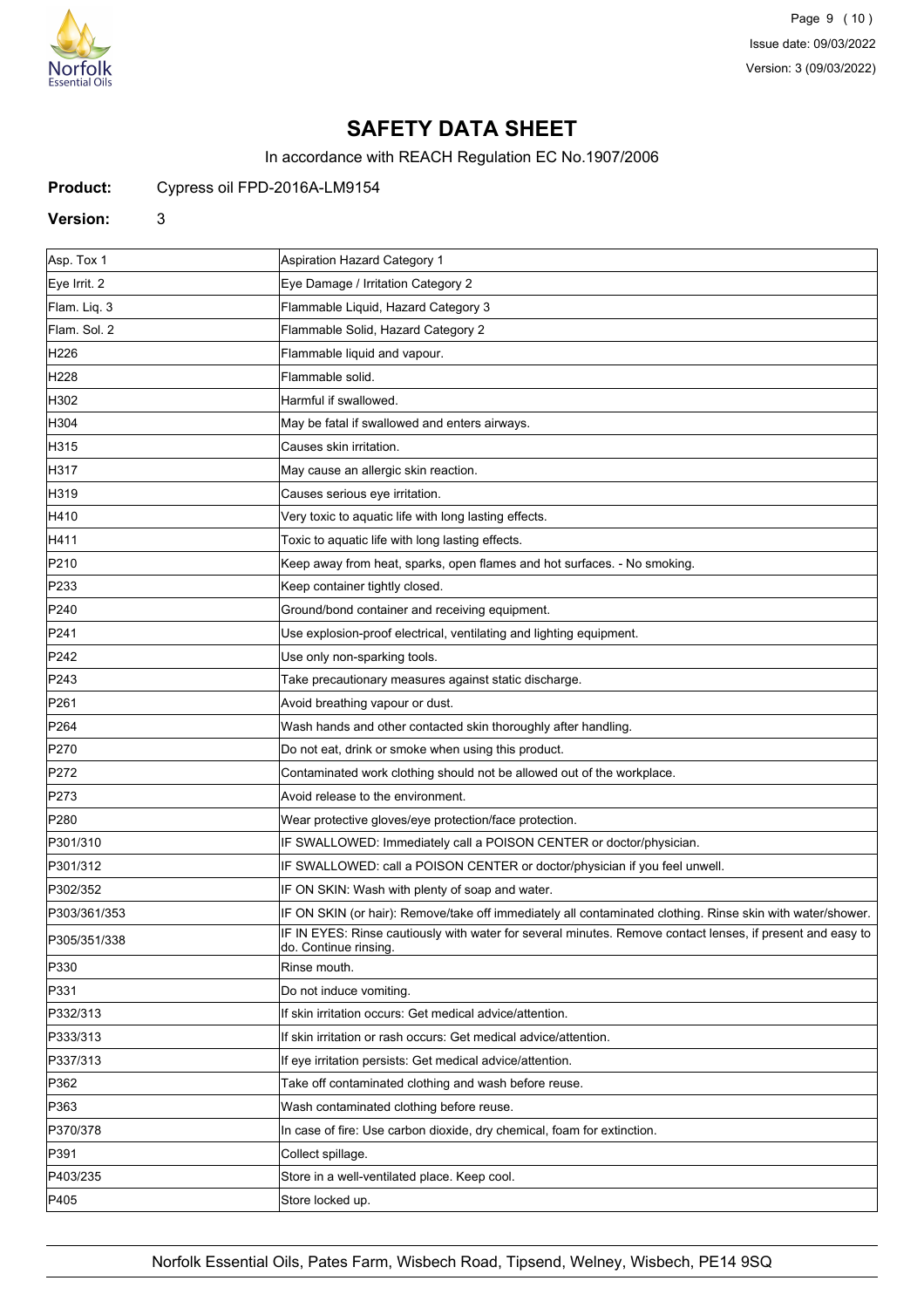

Page 9 (10) Issue date: 09/03/2022 Version: 3 (09/03/2022)

# **SAFETY DATA SHEET**

In accordance with REACH Regulation EC No.1907/2006

## **Product:** Cypress oil FPD-2016A-LM9154

#### **Version:** 3

| Asp. Tox 1       | <b>Aspiration Hazard Category 1</b>                                                                                                |
|------------------|------------------------------------------------------------------------------------------------------------------------------------|
| Eye Irrit. 2     | Eye Damage / Irritation Category 2                                                                                                 |
| Flam. Liq. 3     | Flammable Liquid, Hazard Category 3                                                                                                |
| Flam. Sol. 2     | Flammable Solid, Hazard Category 2                                                                                                 |
| H226             | Flammable liquid and vapour.                                                                                                       |
| H228             | Flammable solid.                                                                                                                   |
| H302             | Harmful if swallowed.                                                                                                              |
| H304             | May be fatal if swallowed and enters airways.                                                                                      |
| H315             | Causes skin irritation.                                                                                                            |
| H317             | May cause an allergic skin reaction.                                                                                               |
| H319             | Causes serious eye irritation.                                                                                                     |
| H410             | Very toxic to aquatic life with long lasting effects.                                                                              |
| H411             | Toxic to aquatic life with long lasting effects.                                                                                   |
| P210             | Keep away from heat, sparks, open flames and hot surfaces. - No smoking.                                                           |
| P233             | Keep container tightly closed.                                                                                                     |
| P240             | Ground/bond container and receiving equipment.                                                                                     |
| P241             | Use explosion-proof electrical, ventilating and lighting equipment.                                                                |
| P242             | Use only non-sparking tools.                                                                                                       |
| P243             | Take precautionary measures against static discharge.                                                                              |
| P <sub>261</sub> | Avoid breathing vapour or dust.                                                                                                    |
| P <sub>264</sub> | Wash hands and other contacted skin thoroughly after handling.                                                                     |
| P270             | Do not eat, drink or smoke when using this product.                                                                                |
| P272             | Contaminated work clothing should not be allowed out of the workplace.                                                             |
| P273             | Avoid release to the environment.                                                                                                  |
| P280             | Wear protective gloves/eye protection/face protection.                                                                             |
| P301/310         | IF SWALLOWED: Immediately call a POISON CENTER or doctor/physician.                                                                |
| P301/312         | IF SWALLOWED: call a POISON CENTER or doctor/physician if you feel unwell.                                                         |
| P302/352         | IF ON SKIN: Wash with plenty of soap and water.                                                                                    |
| P303/361/353     | IF ON SKIN (or hair): Remove/take off immediately all contaminated clothing. Rinse skin with water/shower.                         |
| P305/351/338     | IF IN EYES: Rinse cautiously with water for several minutes. Remove contact lenses, if present and easy to<br>do. Continue rinsing |
| P330             | Rinse mouth.                                                                                                                       |
| P331             | Do not induce vomiting.                                                                                                            |
| P332/313         | If skin irritation occurs: Get medical advice/attention.                                                                           |
| P333/313         | If skin irritation or rash occurs: Get medical advice/attention.                                                                   |
| P337/313         | If eye irritation persists: Get medical advice/attention.                                                                          |
| P362             | Take off contaminated clothing and wash before reuse.                                                                              |
| P363             | Wash contaminated clothing before reuse.                                                                                           |
| P370/378         | In case of fire: Use carbon dioxide, dry chemical, foam for extinction.                                                            |
| P391             | Collect spillage.                                                                                                                  |
| P403/235         | Store in a well-ventilated place. Keep cool.                                                                                       |
| P405             | Store locked up.                                                                                                                   |